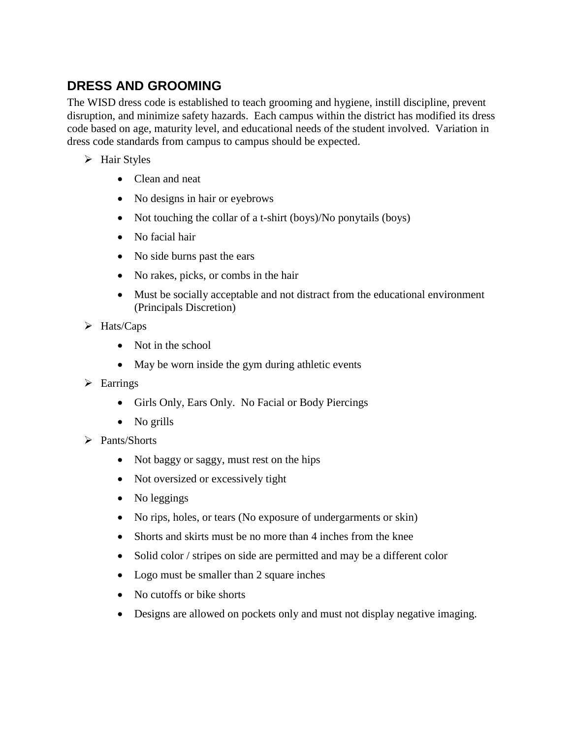## **DRESS AND GROOMING**

The WISD dress code is established to teach grooming and hygiene, instill discipline, prevent disruption, and minimize safety hazards. Each campus within the district has modified its dress code based on age, maturity level, and educational needs of the student involved. Variation in dress code standards from campus to campus should be expected.

- $\triangleright$  Hair Styles
	- Clean and neat
	- No designs in hair or eyebrows
	- Not touching the collar of a t-shirt (boys)/No ponytails (boys)
	- No facial hair
	- No side burns past the ears
	- No rakes, picks, or combs in the hair
	- Must be socially acceptable and not distract from the educational environment (Principals Discretion)
- $\triangleright$  Hats/Caps
	- Not in the school
	- May be worn inside the gym during athletic events
- $\triangleright$  Earrings
	- Girls Only, Ears Only. No Facial or Body Piercings
	- No grills
- $\triangleright$  Pants/Shorts
	- Not baggy or saggy, must rest on the hips
	- Not oversized or excessively tight
	- No leggings
	- No rips, holes, or tears (No exposure of undergarments or skin)
	- Shorts and skirts must be no more than 4 inches from the knee
	- Solid color / stripes on side are permitted and may be a different color
	- Logo must be smaller than 2 square inches
	- No cutoffs or bike shorts
	- Designs are allowed on pockets only and must not display negative imaging.